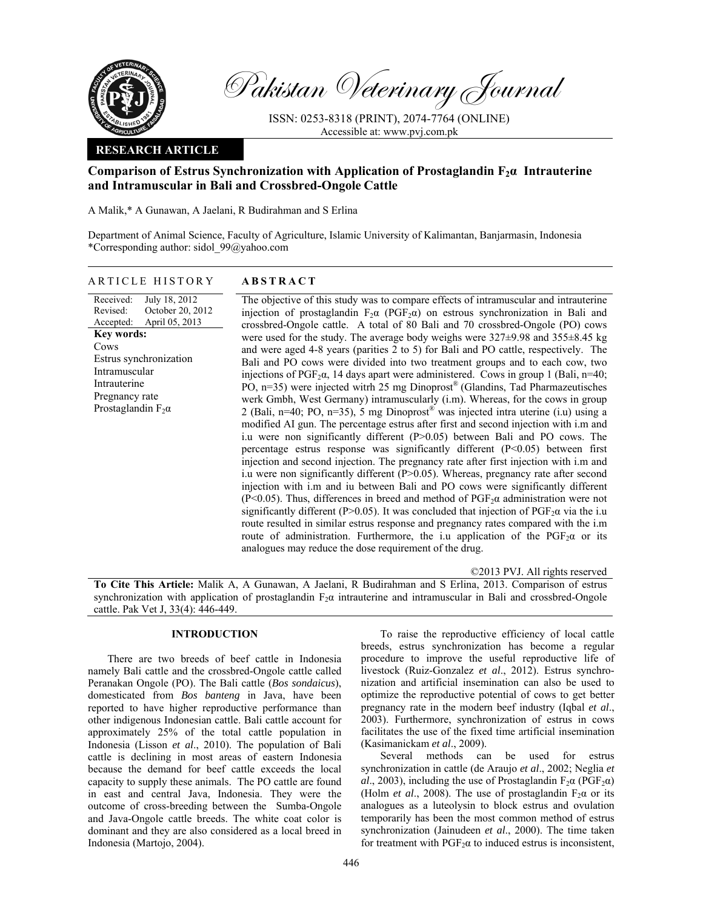

Pakistan Veterinary Journal

ISSN: 0253-8318 (PRINT), 2074-7764 (ONLINE) Accessible at: www.pvj.com.pk

# **RESEARCH ARTICLE**

# **Comparison of Estrus Synchronization with Application of Prostaglandin F2α Intrauterine and Intramuscular in Bali and Crossbred-Ongole Cattle**

A Malik,\* A Gunawan, A Jaelani, R Budirahman and S Erlina

Department of Animal Science, Faculty of Agriculture, Islamic University of Kalimantan, Banjarmasin, Indonesia \*Corresponding author: sidol\_99@yahoo.com

## ARTICLE HISTORY **ABSTRACT**

Received: Revised: Accepted: July 18, 2012 October 20, 2012 April 05, 2013 **Key words:**  Cows Estrus synchronization Intramuscular Intrauterine Pregnancy rate Prostaglandin  $F_2\alpha$ 

 The objective of this study was to compare effects of intramuscular and intrauterine injection of prostaglandin  $F_2\alpha$  (PGF<sub>2</sub> $\alpha$ ) on estrous synchronization in Bali and crossbred-Ongole cattle. A total of 80 Bali and 70 crossbred-Ongole (PO) cows were used for the study. The average body weighs were 327±9.98 and 355±8.45 kg and were aged 4-8 years (parities 2 to 5) for Bali and PO cattle, respectively. The Bali and PO cows were divided into two treatment groups and to each cow, two injections of PGF<sub>2</sub> $\alpha$ , 14 days apart were administered. Cows in group 1 (Bali, n=40; PO, n=35) were injected witrh 25 mg Dinoprost® (Glandins, Tad Pharmazeutisches werk Gmbh, West Germany) intramuscularly (i.m). Whereas, for the cows in group 2 (Bali, n=40; PO, n=35), 5 mg Dinoprost<sup>®</sup> was injected intra uterine (i.u) using a modified AI gun. The percentage estrus after first and second injection with i.m and i.u were non significantly different (P>0.05) between Bali and PO cows. The percentage estrus response was significantly different (P<0.05) between first injection and second injection. The pregnancy rate after first injection with i.m and i.u were non significantly different (P>0.05). Whereas, pregnancy rate after second injection with i.m and iu between Bali and PO cows were significantly different (P<0.05). Thus, differences in breed and method of  $PGF<sub>2</sub>α$  administration were not significantly different (P>0.05). It was concluded that injection of  $PGF<sub>2</sub>α$  via the i.u route resulted in similar estrus response and pregnancy rates compared with the i.m route of administration. Furthermore, the i.u application of the  $PGF<sub>2</sub>α$  or its analogues may reduce the dose requirement of the drug.

©2013 PVJ. All rights reserved

**To Cite This Article:** Malik A, A Gunawan, A Jaelani, R Budirahman and S Erlina, 2013. Comparison of estrus synchronization with application of prostaglandin F<sub>2</sub>α intrauterine and intramuscular in Bali and crossbred-Ongole cattle. Pak Vet J, 33(4): 446-449.

## **INTRODUCTION**

There are two breeds of beef cattle in Indonesia namely Bali cattle and the crossbred-Ongole cattle called Peranakan Ongole (PO). The Bali cattle (*Bos sondaicus*), domesticated from *Bos banteng* in Java, have been reported to have higher reproductive performance than other indigenous Indonesian cattle. Bali cattle account for approximately 25% of the total cattle population in Indonesia (Lisson *et al*., 2010). The population of Bali cattle is declining in most areas of eastern Indonesia because the demand for beef cattle exceeds the local capacity to supply these animals. The PO cattle are found in east and central Java, Indonesia. They were the outcome of cross-breeding between the Sumba-Ongole and Java-Ongole cattle breeds. The white coat color is dominant and they are also considered as a local breed in Indonesia (Martojo, 2004).

To raise the reproductive efficiency of local cattle breeds, estrus synchronization has become a regular procedure to improve the useful reproductive life of livestock (Ruiz-Gonzalez *et al*., 2012). Estrus synchronization and artificial insemination can also be used to optimize the reproductive potential of cows to get better pregnancy rate in the modern beef industry (Iqbal *et al*., 2003). Furthermore, synchronization of estrus in cows facilitates the use of the fixed time artificial insemination (Kasimanickam *et al*., 2009).

Several methods can be used for estrus synchronization in cattle (de Araujo *et al*., 2002; Neglia *et al*., 2003), including the use of Prostaglandin  $F_2\alpha$  (PGF<sub>2</sub> $\alpha$ ) (Holm *et al.*, 2008). The use of prostaglandin  $F_2\alpha$  or its analogues as a luteolysin to block estrus and ovulation temporarily has been the most common method of estrus synchronization (Jainudeen *et al*., 2000). The time taken for treatment with  $PGF<sub>2</sub>α$  to induced estrus is inconsistent,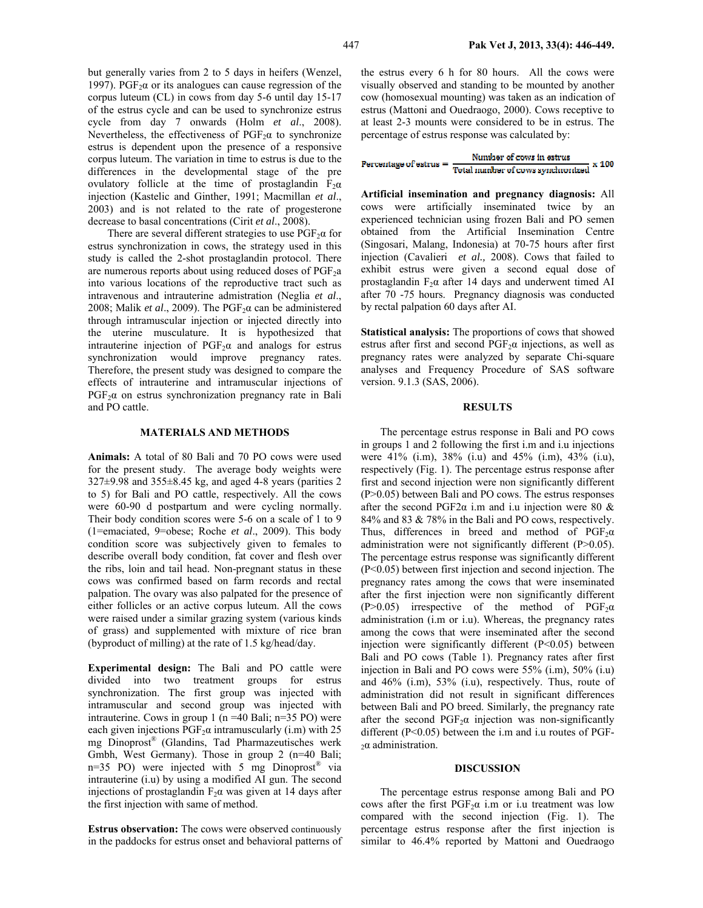but generally varies from 2 to 5 days in heifers (Wenzel, 1997). PGF<sub>2</sub>α or its analogues can cause regression of the corpus luteum (CL) in cows from day 5-6 until day 15-17 of the estrus cycle and can be used to synchronize estrus cycle from day 7 onwards (Holm *et al*., 2008). Nevertheless, the effectiveness of  $PGF<sub>2</sub>α$  to synchronize estrus is dependent upon the presence of a responsive corpus luteum. The variation in time to estrus is due to the differences in the developmental stage of the pre ovulatory follicle at the time of prostaglandin  $F_2\alpha$ injection (Kastelic and Ginther, 1991; Macmillan *et al*., 2003) and is not related to the rate of progesterone decrease to basal concentrations (Cirit *et al*., 2008).

There are several different strategies to use  $PGF<sub>2</sub>α$  for estrus synchronization in cows, the strategy used in this study is called the 2-shot prostaglandin protocol. There are numerous reports about using reduced doses of  $PGF<sub>2</sub>a$ into various locations of the reproductive tract such as intravenous and intrauterine admistration (Neglia *et al*., 2008; Malik *et al.*, 2009). The  $PGF<sub>2</sub>α$  can be administered through intramuscular injection or injected directly into the uterine musculature. It is hypothesized that intrauterine injection of  $PGF_2\alpha$  and analogs for estrus synchronization would improve pregnancy rates. Therefore, the present study was designed to compare the effects of intrauterine and intramuscular injections of  $PGF<sub>2</sub>α$  on estrus synchronization pregnancy rate in Bali and PO cattle.

#### **MATERIALS AND METHODS**

**Animals:** A total of 80 Bali and 70 PO cows were used for the present study. The average body weights were 327±9.98 and 355±8.45 kg, and aged 4-8 years (parities 2 to 5) for Bali and PO cattle, respectively. All the cows were 60-90 d postpartum and were cycling normally. Their body condition scores were 5-6 on a scale of 1 to 9 (1=emaciated, 9=obese; Roche *et al*., 2009). This body condition score was subjectively given to females to describe overall body condition, fat cover and flesh over the ribs, loin and tail head. Non-pregnant status in these cows was confirmed based on farm records and rectal palpation. The ovary was also palpated for the presence of either follicles or an active corpus luteum. All the cows were raised under a similar grazing system (various kinds of grass) and supplemented with mixture of rice bran (byproduct of milling) at the rate of 1.5 kg/head/day.

**Experimental design:** The Bali and PO cattle were divided into two treatment groups for estrus synchronization. The first group was injected with intramuscular and second group was injected with intrauterine. Cows in group 1 (n =40 Bali; n=35 PO) were each given injections  $PGF<sub>2</sub>a$  intramuscularly (i.m) with 25 mg Dinoprost® (Glandins, Tad Pharmazeutisches werk Gmbh, West Germany). Those in group 2 (n=40 Bali; n=35 PO) were injected with 5 mg Dinoprost® via intrauterine (i.u) by using a modified AI gun. The second injections of prostaglandin  $F_2\alpha$  was given at 14 days after the first injection with same of method.

**Estrus observation:** The cows were observed continuously in the paddocks for estrus onset and behavioral patterns of the estrus every 6 h for 80 hours. All the cows were visually observed and standing to be mounted by another cow (homosexual mounting) was taken as an indication of estrus (Mattoni and Ouedraogo, 2000). Cows receptive to at least 2-3 mounts were considered to be in estrus. The percentage of estrus response was calculated by:

## Number of cows in estrus Percentage of estrus  $=$   $\frac{N$ umber of cows in estrus  $x = 100$

**Artificial insemination and pregnancy diagnosis:** All cows were artificially inseminated twice by an experienced technician using frozen Bali and PO semen obtained from the Artificial Insemination Centre (Singosari, Malang, Indonesia) at 70-75 hours after first injection (Cavalieri *et al.,* 2008). Cows that failed to exhibit estrus were given a second equal dose of prostaglandin  $F_2\alpha$  after 14 days and underwent timed AI after 70 -75 hours. Pregnancy diagnosis was conducted by rectal palpation 60 days after AI.

**Statistical analysis:** The proportions of cows that showed estrus after first and second  $PGF<sub>2</sub>α$  injections, as well as pregnancy rates were analyzed by separate Chi-square analyses and Frequency Procedure of SAS software version. 9.1.3 (SAS, 2006).

#### **RESULTS**

The percentage estrus response in Bali and PO cows in groups 1 and 2 following the first i.m and i.u injections were 41% (i.m), 38% (i.u) and 45% (i.m), 43% (i.u), respectively (Fig. 1). The percentage estrus response after first and second injection were non significantly different (P>0.05) between Bali and PO cows. The estrus responses after the second PGF2 $\alpha$  i.m and i.u injection were 80  $\&$ 84% and 83 & 78% in the Bali and PO cows, respectively. Thus, differences in breed and method of  $PGF<sub>2</sub>α$ administration were not significantly different (P>0.05). The percentage estrus response was significantly different (P<0.05) between first injection and second injection. The pregnancy rates among the cows that were inseminated after the first injection were non significantly different  $(P>0.05)$  irrespective of the method of PGF<sub>2</sub> $\alpha$ administration (i.m or i.u). Whereas, the pregnancy rates among the cows that were inseminated after the second injection were significantly different  $(P<0.05)$  between Bali and PO cows (Table 1). Pregnancy rates after first injection in Bali and PO cows were 55% (i.m), 50% (i.u) and 46% (i.m), 53% (i.u), respectively. Thus, route of administration did not result in significant differences between Bali and PO breed. Similarly, the pregnancy rate after the second  $PGF<sub>2</sub>α$  injection was non-significantly different (P<0.05) between the i.m and i.u routes of PGF-<sup>2</sup>α administration.

#### **DISCUSSION**

The percentage estrus response among Bali and PO cows after the first  $PGF<sub>2</sub>α$  i.m or i.u treatment was low compared with the second injection (Fig. 1). The percentage estrus response after the first injection is similar to 46.4% reported by Mattoni and Ouedraogo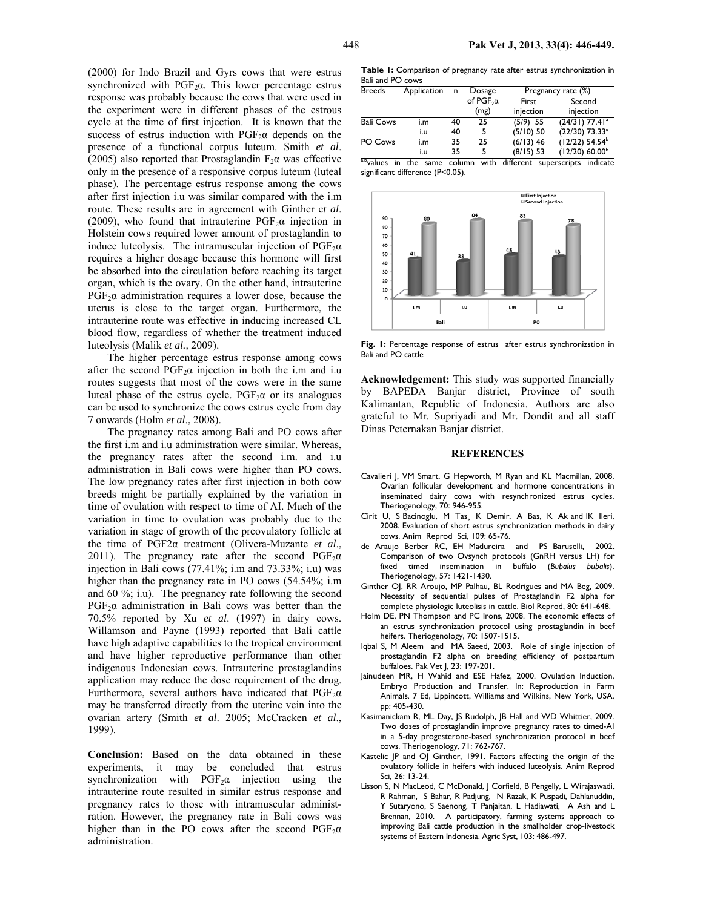(2000) for Indo Brazil and Gyrs cows that were estrus synchronized with  $PGF<sub>2</sub>a$ . This lower percentage estrus response was probably because the cows that were used in the experiment were in different phases of the estrous cycle at the time of first injection. It is known that the success of estrus induction with  $PGF<sub>2</sub>α$  depends on the presence of a functional corpus luteum. Smith *et al*. (2005) also reported that Prostaglandin  $F_2\alpha$  was effective only in the presence of a responsive corpus luteum (luteal phase). The percentage estrus response among the cows after first injection i.u was similar compared with the i.m route. These results are in agreement with Ginther e*t al*. (2009), who found that intrauterine  $PGF<sub>2</sub>α$  injection in Holstein cows required lower amount of prostaglandin to induce luteolysis. The intramuscular injection of  $PGF<sub>2</sub>α$ requires a higher dosage because this hormone will first be absorbed into the circulation before reaching its target organ, which is the ovary. On the other hand, intrauterine  $PGF<sub>2</sub>α$  administration requires a lower dose, because the uterus is close to the target organ. Furthermore, the intrauterine route was effective in inducing increased CL blood flow, regardless of whether the treatment induced luteolysis (Malik *et al.,* 2009).

The higher percentage estrus response among cows after the second  $PGF<sub>2</sub>α$  injection in both the i.m and i.u routes suggests that most of the cows were in the same luteal phase of the estrus cycle. PGF<sub>2</sub> $\alpha$  or its analogues can be used to synchronize the cows estrus cycle from day 7 onwards (Holm *et al*., 2008).

The pregnancy rates among Bali and PO cows after the first i.m and i.u administration were similar. Whereas, the pregnancy rates after the second i.m. and i.u administration in Bali cows were higher than PO cows. The low pregnancy rates after first injection in both cow breeds might be partially explained by the variation in time of ovulation with respect to time of AI. Much of the variation in time to ovulation was probably due to the variation in stage of growth of the preovulatory follicle at the time of PGF2α treatment (Olivera-Muzante *et al*., 2011). The pregnancy rate after the second  $PGF<sub>2</sub>α$ injection in Bali cows (77.41%; i.m and 73.33%; i.u) was higher than the pregnancy rate in PO cows  $(54.54\%; i.m)$ and 60 %; i.u). The pregnancy rate following the second  $PGF<sub>2</sub>α$  administration in Bali cows was better than the 70.5% reported by Xu *et al*. (1997) in dairy cows. Willamson and Payne (1993) reported that Bali cattle have high adaptive capabilities to the tropical environment and have higher reproductive performance than other indigenous Indonesian cows. Intrauterine prostaglandins application may reduce the dose requirement of the drug. Furthermore, several authors have indicated that  $PGF<sub>2</sub>α$ may be transferred directly from the uterine vein into the ovarian artery (Smith *et al*. 2005; McCracken *et al*., 1999).

**Conclusion:** Based on the data obtained in these experiments, it may be concluded that estrus synchronization with  $PGF_2\alpha$  injection using the intrauterine route resulted in similar estrus response and pregnancy rates to those with intramuscular administration. However, the pregnancy rate in Bali cows was higher than in the PO cows after the second  $PGF<sub>2</sub>α$ administration.

**Table 1:** Comparison of pregnancy rate after estrus synchronization in Bali and PO cows

| <b>Breeds</b>            | Application | n  | Dosage                       | Pregnancy rate (%) |                              |
|--------------------------|-------------|----|------------------------------|--------------------|------------------------------|
|                          |             |    | of PGF <sub>2</sub> $\alpha$ | First              | Second                       |
|                          |             |    | (mg)                         | injection          | injection                    |
| <b>Bali Cows</b>         | i.m         | 40 | 25                           | $(5/9)$ 55         | $(24/31)$ 77.41 <sup>a</sup> |
|                          | i.u         | 40 | 5                            | $(5/10)$ 50        | $(22/30)$ 73.33 <sup>a</sup> |
| PO Cows                  | i.m         | 35 | 25                           | $(6/13)$ 46        | $(12/22)$ 54.54 <sup>b</sup> |
|                          | i.u         | 35 | 5                            | $(8/15)$ 53        | $(12/20)$ 60.00 <sup>b</sup> |
| $\overline{\phantom{a}}$ |             |    | . .                          | 22                 |                              |

a,b<sub>values</sub> in the same column with different superscripts indicate significant difference (P<0.05).



**Fig. 1:** Percentage response of estrus after estrus synchronizstion in Bali and PO cattle

**Acknowledgement:** This study was supported financially by BAPEDA Banjar district, Province of south Kalimantan, Republic of Indonesia. Authors are also grateful to Mr. Supriyadi and Mr. Dondit and all staff Dinas Peternakan Banjar district.

## **REFERENCES**

- Cavalieri J, VM Smart, G Hepworth, M Ryan and KL Macmillan, 2008. Ovarian follicular development and hormone concentrations in inseminated dairy cows with resynchronized estrus cycles. Theriogenology, 70: 946-955.
- Cirit U, S Bacinoglu, M Tas¸ K Demir, A Bas, K Ak and IK Ileri, 2008. Evaluation of short estrus synchronization methods in dairy cows. Anim Reprod Sci, 109: 65-76.
- de Araujo Berber RC, EH Madureira and PS Baruselli, 2002. Comparison of two Ovsynch protocols (GnRH versus LH) for fixed timed insemination in buffalo (*Bubalus bubalis*). Theriogenology, 57: 1421-1430.
- Ginther OJ, RR Aroujo, MP Palhau, BL Rodrigues and MA Beg, 2009. Necessity of sequential pulses of Prostaglandin F2 alpha for complete physiologic luteolisis in cattle. Biol Reprod, 80: 641-648.
- Holm DE, PN Thompson and PC Irons, 2008. The economic effects of an estrus synchronization protocol using prostaglandin in beef heifers. Theriogenology, 70: 1507-1515.
- Iqbal S, M Aleem and MA Saeed, 2003. Role of single injection of prostaglandin F2 alpha on breeding efficiency of postpartum buffaloes. Pak Vet J, 23: 197-201.
- Jainudeen MR, H Wahid and ESE Hafez, 2000. Ovulation Induction, Embryo Production and Transfer. In: Reproduction in Farm Animals. 7 Ed, Lippincott, Williams and Wilkins, New York, USA, pp: 405-430.
- Kasimanickam R, ML Day, JS Rudolph, JB Hall and WD Whittier, 2009. Two doses of prostaglandin improve pregnancy rates to timed-AI in a 5-day progesterone-based synchronization protocol in beef cows. Theriogenology, 71: 762-767.
- Kastelic JP and OJ Ginther, 1991. Factors affecting the origin of the ovulatory follicle in heifers with induced luteolysis. Anim Reprod Sci, 26: 13-24.
- Lisson S, N MacLeod, C McDonald, J Corfield, B Pengelly, L Wirajaswadi, R Rahman, S Bahar, R Padjung, N Razak, K Puspadi, Dahlanuddin, Y Sutaryono, S Saenong, T Panjaitan, L Hadiawati, A Ash and L Brennan, 2010. A participatory, farming systems approach to improving Bali cattle production in the smallholder crop-livestock systems of Eastern Indonesia. Agric Syst, 103: 486-497.